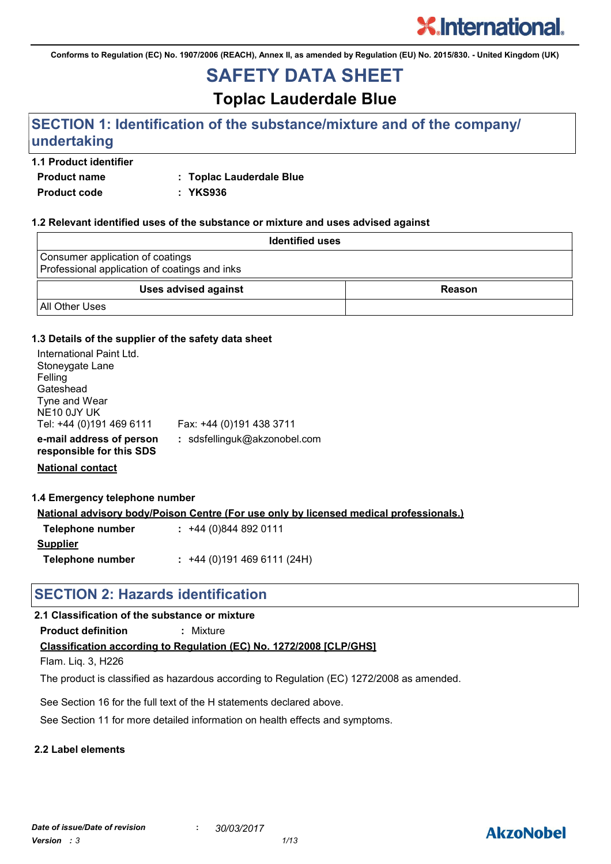**Conforms to Regulation (EC) No. 1907/2006 (REACH), Annex II, as amended by Regulation (EU) No. 2015/830. - United Kingdom (UK)**

## **SAFETY DATA SHEET**

**Toplac Lauderdale Blue**

### **SECTION 1: Identification of the substance/mixture and of the company/ undertaking**

### **1.1 Product identifier**

**Product name : Toplac Lauderdale Blue**

**Product code : YKS936**

### **1.2 Relevant identified uses of the substance or mixture and uses advised against**

| <b>Identified uses</b>                                                            |        |  |  |
|-----------------------------------------------------------------------------------|--------|--|--|
| Consumer application of coatings<br>Professional application of coatings and inks |        |  |  |
| <b>Uses advised against</b>                                                       | Reason |  |  |
| <b>All Other Uses</b>                                                             |        |  |  |

#### **1.3 Details of the supplier of the safety data sheet**

| International Paint Ltd.<br>Stoneygate Lane<br>Felling<br>Gateshead<br>Tyne and Wear<br>NE <sub>10</sub> 0JY UK<br>Tel: +44 (0)191 469 6111 | Fax: +44 (0)191 438 3711     |
|---------------------------------------------------------------------------------------------------------------------------------------------|------------------------------|
| e-mail address of person<br>responsible for this SDS                                                                                        | : sdsfellinguk@akzonobel.com |
|                                                                                                                                             |                              |

**National contact**

#### **1.4 Emergency telephone number**

**National advisory body/Poison Centre (For use only by licensed medical professionals.)**

| Telephone number | $: +44(0)8448920111$      |
|------------------|---------------------------|
| <b>Supplier</b>  |                           |
| Telephone number | $: +44(0)1914696111(24H)$ |

### **SECTION 2: Hazards identification**

### **2.1 Classification of the substance or mixture**

**Product definition :** Mixture

### **Classification according to Regulation (EC) No. 1272/2008 [CLP/GHS]**

Flam. Liq. 3, H226

The product is classified as hazardous according to Regulation (EC) 1272/2008 as amended.

See Section 16 for the full text of the H statements declared above.

See Section 11 for more detailed information on health effects and symptoms.

### **2.2 Label elements**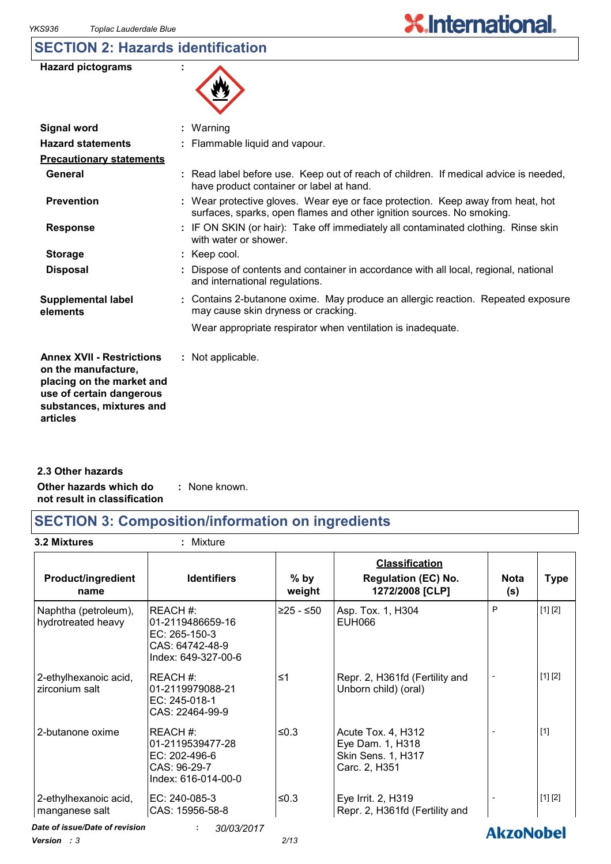### **SECTION 2: Hazards identification**

| <b>Hazard pictograms</b> |  |
|--------------------------|--|
|--------------------------|--|

| W |
|---|
|---|

| <b>Signal word</b>                                                                                                                                       | : Warning                                                                                                                                                |
|----------------------------------------------------------------------------------------------------------------------------------------------------------|----------------------------------------------------------------------------------------------------------------------------------------------------------|
| <b>Hazard statements</b>                                                                                                                                 | : Flammable liquid and vapour.                                                                                                                           |
| <b>Precautionary statements</b>                                                                                                                          |                                                                                                                                                          |
| General                                                                                                                                                  | : Read label before use. Keep out of reach of children. If medical advice is needed,<br>have product container or label at hand.                         |
| <b>Prevention</b>                                                                                                                                        | : Wear protective gloves. Wear eye or face protection. Keep away from heat, hot<br>surfaces, sparks, open flames and other ignition sources. No smoking. |
| <b>Response</b>                                                                                                                                          | : IF ON SKIN (or hair): Take off immediately all contaminated clothing. Rinse skin<br>with water or shower.                                              |
| <b>Storage</b>                                                                                                                                           | $:$ Keep cool.                                                                                                                                           |
| <b>Disposal</b>                                                                                                                                          | : Dispose of contents and container in accordance with all local, regional, national<br>and international regulations.                                   |
| <b>Supplemental label</b><br>elements                                                                                                                    | : Contains 2-butanone oxime. May produce an allergic reaction. Repeated exposure<br>may cause skin dryness or cracking.                                  |
|                                                                                                                                                          | Wear appropriate respirator when ventilation is inadequate.                                                                                              |
| <b>Annex XVII - Restrictions</b><br>on the manufacture,<br>placing on the market and<br>use of certain dangerous<br>substances, mixtures and<br>articles | : Not applicable.                                                                                                                                        |

**Other hazards which do : not result in classification** : None known. **2.3 Other hazards**

### **SECTION 3: Composition/information on ingredients**

**3.2 Mixtures :** Mixture

| <b>Product/ingredient</b><br>name                                     | <b>Identifiers</b>                                                                     | $%$ by<br>weight | <b>Classification</b><br><b>Regulation (EC) No.</b><br>1272/2008 [CLP]               | <b>Nota</b><br>(s) | <b>Type</b> |
|-----------------------------------------------------------------------|----------------------------------------------------------------------------------------|------------------|--------------------------------------------------------------------------------------|--------------------|-------------|
| Naphtha (petroleum),<br>hydrotreated heavy                            | REACH#:<br>01-2119486659-16<br>EC: 265-150-3<br>CAS: 64742-48-9<br>Index: 649-327-00-6 | $≥25 - ≤50$      | Asp. Tox. 1, H304<br><b>EUH066</b>                                                   | P                  | [1] [2]     |
| 2-ethylhexanoic acid,<br>zirconium salt                               | REACH#:<br>01-2119979088-21<br>EC: 245-018-1<br>CAS: 22464-99-9                        | ≤1               | Repr. 2, H361fd (Fertility and<br>Unborn child) (oral)                               |                    | [1] [2]     |
| 2-butanone oxime                                                      | REACH#:<br>01-2119539477-28<br>EC: 202-496-6<br>CAS: 96-29-7<br>Index: 616-014-00-0    | ≤ $0.3$          | Acute Tox. 4, H312<br>Eye Dam. 1, H318<br><b>Skin Sens. 1, H317</b><br>Carc. 2, H351 |                    | $[1]$       |
| 2-ethylhexanoic acid,<br>manganese salt                               | EC: 240-085-3<br>CAS: 15956-58-8                                                       | ≤ $0.3$          | Eye Irrit. 2, H319<br>Repr. 2, H361fd (Fertility and                                 |                    | [1] [2]     |
| Date of issue/Date of revision<br>30/03/2017<br>÷<br><b>AkzoNobel</b> |                                                                                        |                  |                                                                                      |                    |             |

*Version : 3 2/13*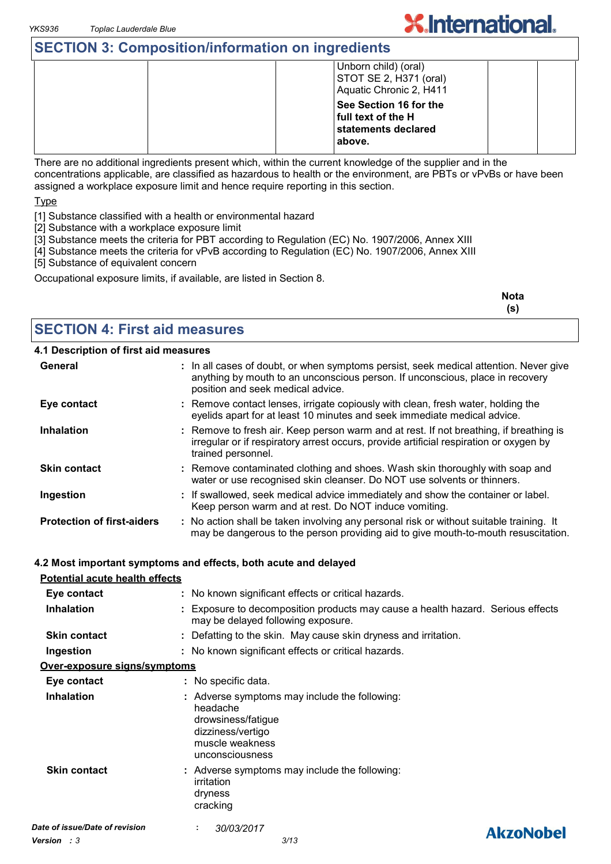### **SECTION 3: Composition/information on ingredients**

|  | Unborn child) (oral)<br>STOT SE 2, H371 (oral)<br>Aquatic Chronic 2, H411     |  |
|--|-------------------------------------------------------------------------------|--|
|  | See Section 16 for the<br>full text of the H<br>statements declared<br>above. |  |

**X.International.** 

There are no additional ingredients present which, within the current knowledge of the supplier and in the concentrations applicable, are classified as hazardous to health or the environment, are PBTs or vPvBs or have been assigned a workplace exposure limit and hence require reporting in this section.

Type

- [1] Substance classified with a health or environmental hazard
- [2] Substance with a workplace exposure limit
- [3] Substance meets the criteria for PBT according to Regulation (EC) No. 1907/2006, Annex XIII
- [4] Substance meets the criteria for vPvB according to Regulation (EC) No. 1907/2006, Annex XIII
- [5] Substance of equivalent concern

Occupational exposure limits, if available, are listed in Section 8.

| <b>Nota</b> |
|-------------|
|             |

### **SECTION 4: First aid measures**

#### **4.1 Description of first aid measures**

| General                               | : In all cases of doubt, or when symptoms persist, seek medical attention. Never give<br>anything by mouth to an unconscious person. If unconscious, place in recovery<br>position and seek medical advice. |
|---------------------------------------|-------------------------------------------------------------------------------------------------------------------------------------------------------------------------------------------------------------|
| Eye contact                           | : Remove contact lenses, irrigate copiously with clean, fresh water, holding the<br>eyelids apart for at least 10 minutes and seek immediate medical advice.                                                |
| <b>Inhalation</b>                     | : Remove to fresh air. Keep person warm and at rest. If not breathing, if breathing is<br>irregular or if respiratory arrest occurs, provide artificial respiration or oxygen by<br>trained personnel.      |
| <b>Skin contact</b>                   | : Remove contaminated clothing and shoes. Wash skin thoroughly with soap and<br>water or use recognised skin cleanser. Do NOT use solvents or thinners.                                                     |
| Ingestion                             | : If swallowed, seek medical advice immediately and show the container or label.<br>Keep person warm and at rest. Do NOT induce vomiting.                                                                   |
| <b>Protection of first-aiders</b>     | : No action shall be taken involving any personal risk or without suitable training. It<br>may be dangerous to the person providing aid to give mouth-to-mouth resuscitation.                               |
|                                       | 4.2 Most important symptoms and effects, both acute and delayed                                                                                                                                             |
| <b>Potential acute health effects</b> |                                                                                                                                                                                                             |
| Eye contact                           | : No known significant effects or critical hazards.                                                                                                                                                         |
| <b>Inhalation</b>                     | : Exposure to decomposition products may cause a health hazard. Serious effects<br>may be delayed following exposure.                                                                                       |
| <b>Skin contact</b>                   | : Defatting to the skin. May cause skin dryness and irritation.                                                                                                                                             |
| Ingestion                             | : No known significant effects or critical hazards.                                                                                                                                                         |
| Over-exposure signs/symptoms          |                                                                                                                                                                                                             |
| Eye contact                           | : No specific data.                                                                                                                                                                                         |
| <b>Inhalation</b>                     | : Adverse symptoms may include the following:<br>headache                                                                                                                                                   |

**Skin contact** headache drowsiness/fatigue dizziness/vertigo muscle weakness unconsciousness Adverse symptoms may include the following: **:** irritation dryness cracking *Date of issue/Date of revision* **:** *30/03/2017 Version : 3 3/13*

**AkzoNobel**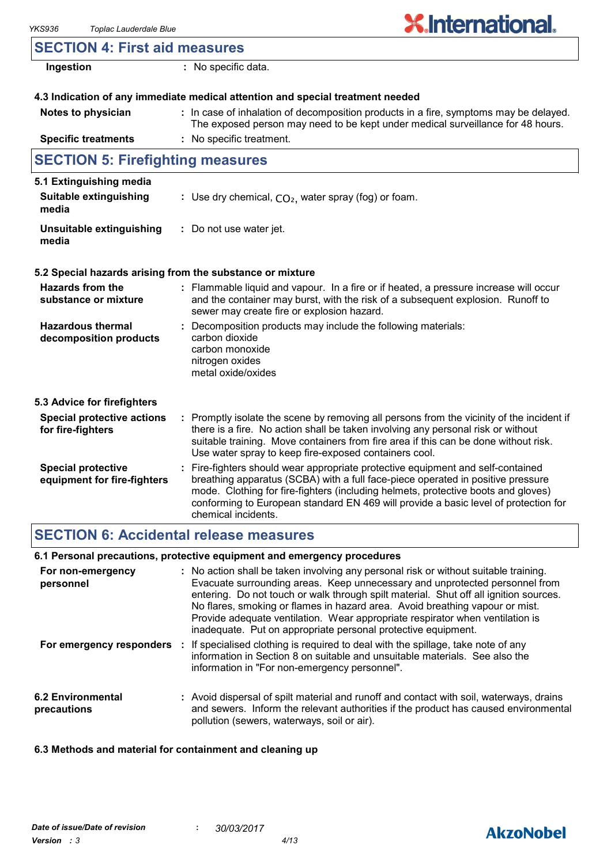| <b>SECTION 4: First aid measures</b>                              |                                                                                                                                                                                                                                                                                                                                                                       |
|-------------------------------------------------------------------|-----------------------------------------------------------------------------------------------------------------------------------------------------------------------------------------------------------------------------------------------------------------------------------------------------------------------------------------------------------------------|
| Ingestion                                                         | : No specific data.                                                                                                                                                                                                                                                                                                                                                   |
|                                                                   | 4.3 Indication of any immediate medical attention and special treatment needed                                                                                                                                                                                                                                                                                        |
| Notes to physician                                                | : In case of inhalation of decomposition products in a fire, symptoms may be delayed.<br>The exposed person may need to be kept under medical surveillance for 48 hours.                                                                                                                                                                                              |
| <b>Specific treatments</b>                                        | : No specific treatment.                                                                                                                                                                                                                                                                                                                                              |
| <b>SECTION 5: Firefighting measures</b>                           |                                                                                                                                                                                                                                                                                                                                                                       |
| 5.1 Extinguishing media<br><b>Suitable extinguishing</b><br>media | : Use dry chemical, $CO2$ , water spray (fog) or foam.                                                                                                                                                                                                                                                                                                                |
| Unsuitable extinguishing<br>media                                 | : Do not use water jet.                                                                                                                                                                                                                                                                                                                                               |
|                                                                   | 5.2 Special hazards arising from the substance or mixture                                                                                                                                                                                                                                                                                                             |
| <b>Hazards from the</b><br>substance or mixture                   | : Flammable liquid and vapour. In a fire or if heated, a pressure increase will occur<br>and the container may burst, with the risk of a subsequent explosion. Runoff to<br>sewer may create fire or explosion hazard.                                                                                                                                                |
| <b>Hazardous thermal</b><br>decomposition products                | : Decomposition products may include the following materials:<br>carbon dioxide<br>carbon monoxide<br>nitrogen oxides<br>metal oxide/oxides                                                                                                                                                                                                                           |
| 5.3 Advice for firefighters                                       |                                                                                                                                                                                                                                                                                                                                                                       |
| <b>Special protective actions</b><br>for fire-fighters            | : Promptly isolate the scene by removing all persons from the vicinity of the incident if<br>there is a fire. No action shall be taken involving any personal risk or without<br>suitable training. Move containers from fire area if this can be done without risk.<br>Use water spray to keep fire-exposed containers cool.                                         |
| <b>Special protective</b><br>equipment for fire-fighters          | : Fire-fighters should wear appropriate protective equipment and self-contained<br>breathing apparatus (SCBA) with a full face-piece operated in positive pressure<br>mode. Clothing for fire-fighters (including helmets, protective boots and gloves)<br>conforming to European standard EN 469 will provide a basic level of protection for<br>chemical incidents. |

### **SECTION 6: Accidental release measures**

| 6.1 Personal precautions, protective equipment and emergency procedures |  |
|-------------------------------------------------------------------------|--|
|-------------------------------------------------------------------------|--|

| For non-emergency<br>personnel          | : No action shall be taken involving any personal risk or without suitable training.<br>Evacuate surrounding areas. Keep unnecessary and unprotected personnel from<br>entering. Do not touch or walk through spilt material. Shut off all ignition sources.<br>No flares, smoking or flames in hazard area. Avoid breathing vapour or mist.<br>Provide adequate ventilation. Wear appropriate respirator when ventilation is<br>inadequate. Put on appropriate personal protective equipment. |  |
|-----------------------------------------|------------------------------------------------------------------------------------------------------------------------------------------------------------------------------------------------------------------------------------------------------------------------------------------------------------------------------------------------------------------------------------------------------------------------------------------------------------------------------------------------|--|
| For emergency responders                | If specialised clothing is required to deal with the spillage, take note of any<br>information in Section 8 on suitable and unsuitable materials. See also the<br>information in "For non-emergency personnel".                                                                                                                                                                                                                                                                                |  |
| <b>6.2 Environmental</b><br>precautions | : Avoid dispersal of spilt material and runoff and contact with soil, waterways, drains<br>and sewers. Inform the relevant authorities if the product has caused environmental<br>pollution (sewers, waterways, soil or air).                                                                                                                                                                                                                                                                  |  |

### **6.3 Methods and material for containment and cleaning up**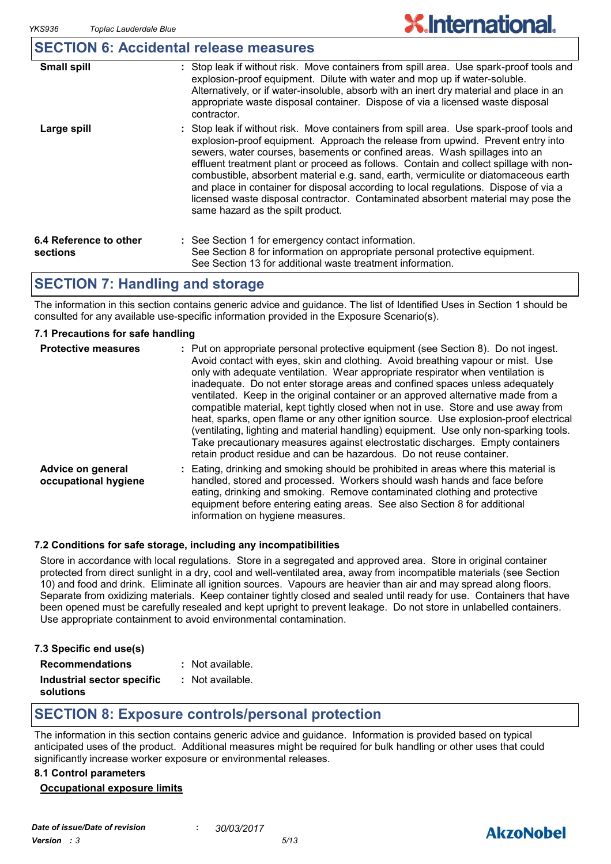### **SECTION 6: Accidental release measures**

| <b>Small spill</b>                 | : Stop leak if without risk. Move containers from spill area. Use spark-proof tools and<br>explosion-proof equipment. Dilute with water and mop up if water-soluble.<br>Alternatively, or if water-insoluble, absorb with an inert dry material and place in an<br>appropriate waste disposal container. Dispose of via a licensed waste disposal<br>contractor.                                                                                                                                                                                                                                                                                           |
|------------------------------------|------------------------------------------------------------------------------------------------------------------------------------------------------------------------------------------------------------------------------------------------------------------------------------------------------------------------------------------------------------------------------------------------------------------------------------------------------------------------------------------------------------------------------------------------------------------------------------------------------------------------------------------------------------|
| Large spill                        | : Stop leak if without risk. Move containers from spill area. Use spark-proof tools and<br>explosion-proof equipment. Approach the release from upwind. Prevent entry into<br>sewers, water courses, basements or confined areas. Wash spillages into an<br>effluent treatment plant or proceed as follows. Contain and collect spillage with non-<br>combustible, absorbent material e.g. sand, earth, vermiculite or diatomaceous earth<br>and place in container for disposal according to local regulations. Dispose of via a<br>licensed waste disposal contractor. Contaminated absorbent material may pose the<br>same hazard as the spilt product. |
| 6.4 Reference to other<br>sections | : See Section 1 for emergency contact information.<br>See Section 8 for information on appropriate personal protective equipment.<br>See Section 13 for additional waste treatment information.                                                                                                                                                                                                                                                                                                                                                                                                                                                            |

### **SECTION 7: Handling and storage**

The information in this section contains generic advice and guidance. The list of Identified Uses in Section 1 should be consulted for any available use-specific information provided in the Exposure Scenario(s).

### **7.1 Precautions for safe handling**

| <b>Protective measures</b>                | : Put on appropriate personal protective equipment (see Section 8). Do not ingest.<br>Avoid contact with eyes, skin and clothing. Avoid breathing vapour or mist. Use<br>only with adequate ventilation. Wear appropriate respirator when ventilation is<br>inadequate. Do not enter storage areas and confined spaces unless adequately<br>ventilated. Keep in the original container or an approved alternative made from a<br>compatible material, kept tightly closed when not in use. Store and use away from<br>heat, sparks, open flame or any other ignition source. Use explosion-proof electrical<br>(ventilating, lighting and material handling) equipment. Use only non-sparking tools.<br>Take precautionary measures against electrostatic discharges. Empty containers<br>retain product residue and can be hazardous. Do not reuse container. |
|-------------------------------------------|----------------------------------------------------------------------------------------------------------------------------------------------------------------------------------------------------------------------------------------------------------------------------------------------------------------------------------------------------------------------------------------------------------------------------------------------------------------------------------------------------------------------------------------------------------------------------------------------------------------------------------------------------------------------------------------------------------------------------------------------------------------------------------------------------------------------------------------------------------------|
| Advice on general<br>occupational hygiene | Eating, drinking and smoking should be prohibited in areas where this material is<br>handled, stored and processed. Workers should wash hands and face before<br>eating, drinking and smoking. Remove contaminated clothing and protective<br>equipment before entering eating areas. See also Section 8 for additional<br>information on hygiene measures.                                                                                                                                                                                                                                                                                                                                                                                                                                                                                                    |

#### **7.2 Conditions for safe storage, including any incompatibilities**

Store in accordance with local regulations. Store in a segregated and approved area. Store in original container protected from direct sunlight in a dry, cool and well-ventilated area, away from incompatible materials (see Section 10) and food and drink. Eliminate all ignition sources. Vapours are heavier than air and may spread along floors. Separate from oxidizing materials. Keep container tightly closed and sealed until ready for use. Containers that have been opened must be carefully resealed and kept upright to prevent leakage. Do not store in unlabelled containers. Use appropriate containment to avoid environmental contamination.

|  | 7.3 Specific end use(s) |  |  |  |
|--|-------------------------|--|--|--|
|--|-------------------------|--|--|--|

**Recommendations :**

| : Not available. |  |
|------------------|--|
|------------------|--|

**Industrial sector specific :** : Not available.

**solutions**

### **SECTION 8: Exposure controls/personal protection**

The information in this section contains generic advice and guidance. Information is provided based on typical anticipated uses of the product. Additional measures might be required for bulk handling or other uses that could significantly increase worker exposure or environmental releases.

#### **8.1 Control parameters**

#### **Occupational exposure limits**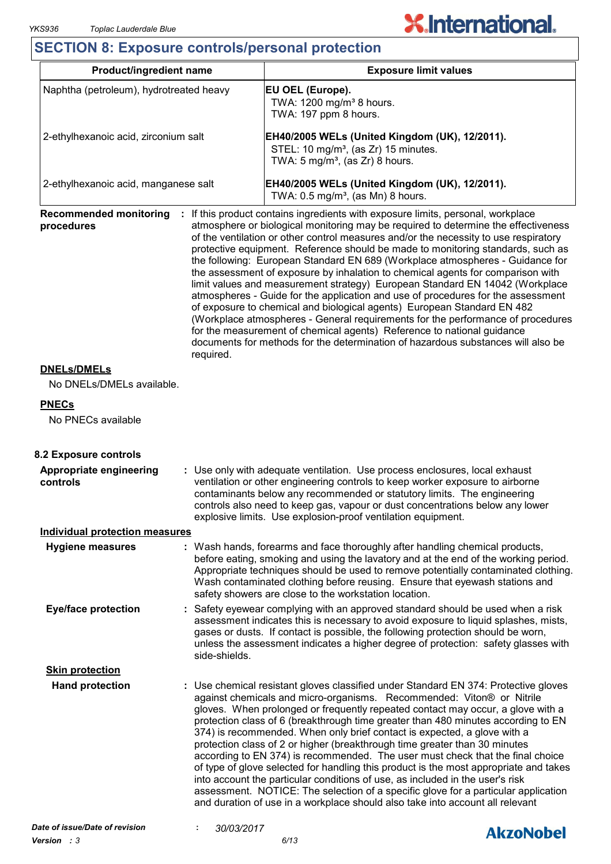### **SECTION 8: Exposure controls/personal protection**

| Product/ingredient name                                  |                                                                                                                                                                                                                                                                                                                                                                                                   | <b>Exposure limit values</b>                                                                                                                                                                                                                                                                                                                                                                                                                                                                                                                                                                                                                                                                                                                                                                                                                                                                                                                                                                                          |  |  |
|----------------------------------------------------------|---------------------------------------------------------------------------------------------------------------------------------------------------------------------------------------------------------------------------------------------------------------------------------------------------------------------------------------------------------------------------------------------------|-----------------------------------------------------------------------------------------------------------------------------------------------------------------------------------------------------------------------------------------------------------------------------------------------------------------------------------------------------------------------------------------------------------------------------------------------------------------------------------------------------------------------------------------------------------------------------------------------------------------------------------------------------------------------------------------------------------------------------------------------------------------------------------------------------------------------------------------------------------------------------------------------------------------------------------------------------------------------------------------------------------------------|--|--|
| Naphtha (petroleum), hydrotreated heavy                  |                                                                                                                                                                                                                                                                                                                                                                                                   | EU OEL (Europe).<br>TWA: 1200 mg/m <sup>3</sup> 8 hours.<br>TWA: 197 ppm 8 hours.                                                                                                                                                                                                                                                                                                                                                                                                                                                                                                                                                                                                                                                                                                                                                                                                                                                                                                                                     |  |  |
| 2-ethylhexanoic acid, zirconium salt                     |                                                                                                                                                                                                                                                                                                                                                                                                   | EH40/2005 WELs (United Kingdom (UK), 12/2011).<br>STEL: 10 mg/m <sup>3</sup> , (as Zr) 15 minutes.<br>TWA: $5 \text{ mg/m}^3$ , (as Zr) 8 hours.                                                                                                                                                                                                                                                                                                                                                                                                                                                                                                                                                                                                                                                                                                                                                                                                                                                                      |  |  |
| 2-ethylhexanoic acid, manganese salt                     |                                                                                                                                                                                                                                                                                                                                                                                                   | EH40/2005 WELs (United Kingdom (UK), 12/2011).<br>TWA: $0.5 \text{ mg/m}^3$ , (as Mn) 8 hours.                                                                                                                                                                                                                                                                                                                                                                                                                                                                                                                                                                                                                                                                                                                                                                                                                                                                                                                        |  |  |
| <b>Recommended monitoring</b><br>procedures<br>required. |                                                                                                                                                                                                                                                                                                                                                                                                   | : If this product contains ingredients with exposure limits, personal, workplace<br>atmosphere or biological monitoring may be required to determine the effectiveness<br>of the ventilation or other control measures and/or the necessity to use respiratory<br>protective equipment. Reference should be made to monitoring standards, such as<br>the following: European Standard EN 689 (Workplace atmospheres - Guidance for<br>the assessment of exposure by inhalation to chemical agents for comparison with<br>limit values and measurement strategy) European Standard EN 14042 (Workplace<br>atmospheres - Guide for the application and use of procedures for the assessment<br>of exposure to chemical and biological agents) European Standard EN 482<br>(Workplace atmospheres - General requirements for the performance of procedures<br>for the measurement of chemical agents) Reference to national guidance<br>documents for methods for the determination of hazardous substances will also be |  |  |
| <b>DNELs/DMELs</b><br>No DNELs/DMELs available.          |                                                                                                                                                                                                                                                                                                                                                                                                   |                                                                                                                                                                                                                                                                                                                                                                                                                                                                                                                                                                                                                                                                                                                                                                                                                                                                                                                                                                                                                       |  |  |
|                                                          |                                                                                                                                                                                                                                                                                                                                                                                                   |                                                                                                                                                                                                                                                                                                                                                                                                                                                                                                                                                                                                                                                                                                                                                                                                                                                                                                                                                                                                                       |  |  |
| <b>PNECs</b><br>No PNECs available                       |                                                                                                                                                                                                                                                                                                                                                                                                   |                                                                                                                                                                                                                                                                                                                                                                                                                                                                                                                                                                                                                                                                                                                                                                                                                                                                                                                                                                                                                       |  |  |
| 8.2 Exposure controls                                    |                                                                                                                                                                                                                                                                                                                                                                                                   |                                                                                                                                                                                                                                                                                                                                                                                                                                                                                                                                                                                                                                                                                                                                                                                                                                                                                                                                                                                                                       |  |  |
| Appropriate engineering<br>controls                      | : Use only with adequate ventilation. Use process enclosures, local exhaust<br>ventilation or other engineering controls to keep worker exposure to airborne<br>contaminants below any recommended or statutory limits. The engineering<br>controls also need to keep gas, vapour or dust concentrations below any lower<br>explosive limits. Use explosion-proof ventilation equipment.          |                                                                                                                                                                                                                                                                                                                                                                                                                                                                                                                                                                                                                                                                                                                                                                                                                                                                                                                                                                                                                       |  |  |
| <b>Individual protection measures</b>                    |                                                                                                                                                                                                                                                                                                                                                                                                   |                                                                                                                                                                                                                                                                                                                                                                                                                                                                                                                                                                                                                                                                                                                                                                                                                                                                                                                                                                                                                       |  |  |
| <b>Hygiene measures</b>                                  | : Wash hands, forearms and face thoroughly after handling chemical products,<br>before eating, smoking and using the lavatory and at the end of the working period.<br>Appropriate techniques should be used to remove potentially contaminated clothing.<br>Wash contaminated clothing before reusing. Ensure that eyewash stations and<br>safety showers are close to the workstation location. |                                                                                                                                                                                                                                                                                                                                                                                                                                                                                                                                                                                                                                                                                                                                                                                                                                                                                                                                                                                                                       |  |  |
| <b>Eye/face protection</b>                               | : Safety eyewear complying with an approved standard should be used when a risk<br>assessment indicates this is necessary to avoid exposure to liquid splashes, mists,<br>gases or dusts. If contact is possible, the following protection should be worn,<br>unless the assessment indicates a higher degree of protection: safety glasses with<br>side-shields.                                 |                                                                                                                                                                                                                                                                                                                                                                                                                                                                                                                                                                                                                                                                                                                                                                                                                                                                                                                                                                                                                       |  |  |
| <b>Skin protection</b>                                   |                                                                                                                                                                                                                                                                                                                                                                                                   |                                                                                                                                                                                                                                                                                                                                                                                                                                                                                                                                                                                                                                                                                                                                                                                                                                                                                                                                                                                                                       |  |  |
| <b>Hand protection</b>                                   |                                                                                                                                                                                                                                                                                                                                                                                                   | : Use chemical resistant gloves classified under Standard EN 374: Protective gloves<br>against chemicals and micro-organisms. Recommended: Viton® or Nitrile<br>gloves. When prolonged or frequently repeated contact may occur, a glove with a<br>protection class of 6 (breakthrough time greater than 480 minutes according to EN<br>374) is recommended. When only brief contact is expected, a glove with a<br>protection class of 2 or higher (breakthrough time greater than 30 minutes<br>according to EN 374) is recommended. The user must check that the final choice<br>of type of glove selected for handling this product is the most appropriate and takes<br>into account the particular conditions of use, as included in the user's risk<br>assessment. NOTICE: The selection of a specific glove for a particular application<br>and duration of use in a workplace should also take into account all relevant                                                                                     |  |  |
| Date of issue/Date of revision                           | 30/03/2017                                                                                                                                                                                                                                                                                                                                                                                        | <b>Alizablahal</b>                                                                                                                                                                                                                                                                                                                                                                                                                                                                                                                                                                                                                                                                                                                                                                                                                                                                                                                                                                                                    |  |  |

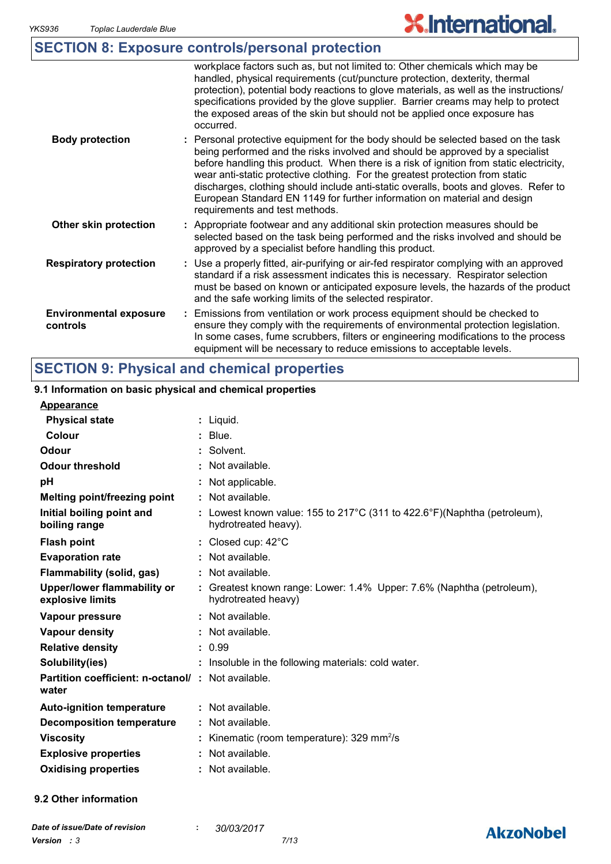|                                           | <b>SECTION 8: Exposure controls/personal protection</b>                                                                                                                                                                                                                                                                                                                                                                                                                                                                                              |
|-------------------------------------------|------------------------------------------------------------------------------------------------------------------------------------------------------------------------------------------------------------------------------------------------------------------------------------------------------------------------------------------------------------------------------------------------------------------------------------------------------------------------------------------------------------------------------------------------------|
|                                           | workplace factors such as, but not limited to: Other chemicals which may be<br>handled, physical requirements (cut/puncture protection, dexterity, thermal<br>protection), potential body reactions to glove materials, as well as the instructions/<br>specifications provided by the glove supplier. Barrier creams may help to protect<br>the exposed areas of the skin but should not be applied once exposure has<br>occurred.                                                                                                                  |
| <b>Body protection</b>                    | : Personal protective equipment for the body should be selected based on the task<br>being performed and the risks involved and should be approved by a specialist<br>before handling this product. When there is a risk of ignition from static electricity,<br>wear anti-static protective clothing. For the greatest protection from static<br>discharges, clothing should include anti-static overalls, boots and gloves. Refer to<br>European Standard EN 1149 for further information on material and design<br>requirements and test methods. |
| Other skin protection                     | : Appropriate footwear and any additional skin protection measures should be<br>selected based on the task being performed and the risks involved and should be<br>approved by a specialist before handling this product.                                                                                                                                                                                                                                                                                                                            |
| <b>Respiratory protection</b>             | : Use a properly fitted, air-purifying or air-fed respirator complying with an approved<br>standard if a risk assessment indicates this is necessary. Respirator selection<br>must be based on known or anticipated exposure levels, the hazards of the product<br>and the safe working limits of the selected respirator.                                                                                                                                                                                                                           |
| <b>Environmental exposure</b><br>controls | Emissions from ventilation or work process equipment should be checked to<br>ensure they comply with the requirements of environmental protection legislation.<br>In some cases, fume scrubbers, filters or engineering modifications to the process<br>equipment will be necessary to reduce emissions to acceptable levels.                                                                                                                                                                                                                        |

## **SECTION 9: Physical and chemical properties**

#### Liquid. **: Appearance Physical state** Colour. **: 9.1 Information on basic physical and chemical properties**

| Colour                                                            | : Blue.                                                                                          |
|-------------------------------------------------------------------|--------------------------------------------------------------------------------------------------|
| Odour                                                             | : Solvent.                                                                                       |
| <b>Odour threshold</b>                                            | : Not available.                                                                                 |
| рH                                                                | : Not applicable.                                                                                |
| Melting point/freezing point                                      | $:$ Not available.                                                                               |
| Initial boiling point and<br>boiling range                        | : Lowest known value: 155 to 217°C (311 to 422.6°F)(Naphtha (petroleum),<br>hydrotreated heavy). |
| <b>Flash point</b>                                                | : Closed cup: $42^{\circ}$ C                                                                     |
| <b>Evaporation rate</b>                                           | : Not available.                                                                                 |
| <b>Flammability (solid, gas)</b>                                  | : Not available.                                                                                 |
| Upper/lower flammability or<br>explosive limits                   | : Greatest known range: Lower: 1.4% Upper: 7.6% (Naphtha (petroleum),<br>hydrotreated heavy)     |
| Vapour pressure                                                   | $:$ Not available.                                                                               |
| <b>Vapour density</b>                                             | : Not available.                                                                                 |
| <b>Relative density</b>                                           | : 0.99                                                                                           |
| Solubility(ies)                                                   | : Insoluble in the following materials: cold water.                                              |
| <b>Partition coefficient: n-octanol/: Not available.</b><br>water |                                                                                                  |
| <b>Auto-ignition temperature</b>                                  | $\therefore$ Not available.                                                                      |
| <b>Decomposition temperature</b>                                  | $\therefore$ Not available.                                                                      |
| <b>Viscosity</b>                                                  | : Kinematic (room temperature): $329 \text{ mm}^2/\text{s}$                                      |
| <b>Explosive properties</b>                                       | $:$ Not available.                                                                               |
| <b>Oxidising properties</b>                                       | : Not available.                                                                                 |

**9.2 Other information**

### **AkzoNobel**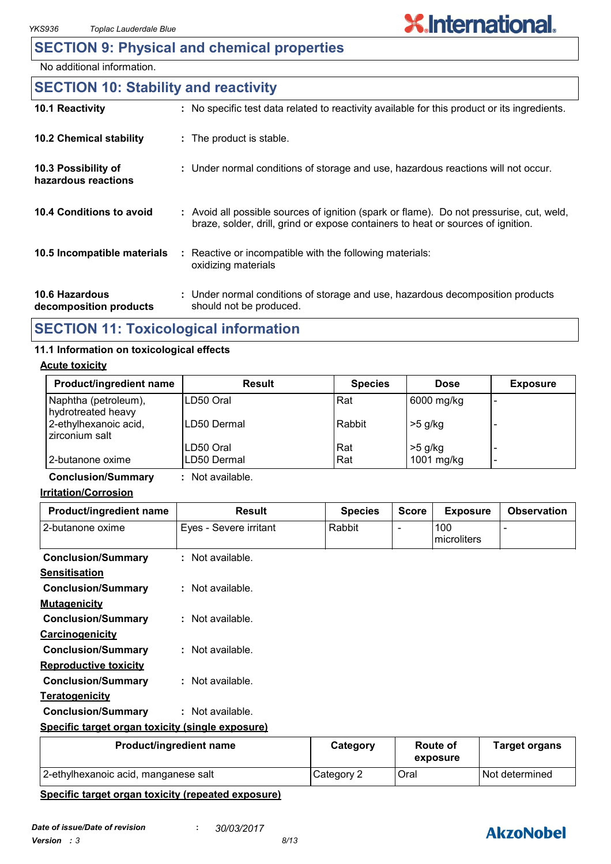### **SECTION 9: Physical and chemical properties**

No additional information.

### **10.6 Hazardous decomposition products 10.4 Conditions to avoid** : Avoid all possible sources of ignition (spark or flame). Do not pressurise, cut, weld, braze, solder, drill, grind or expose containers to heat or sources of ignition. Under normal conditions of storage and use, hazardous decomposition products **:** should not be produced. **10.2 Chemical stability** Reactive or incompatible with the following materials: oxidizing materials **: 10.5 Incompatible materials : 10.3 Possibility of hazardous reactions :** Under normal conditions of storage and use, hazardous reactions will not occur. **SECTION 10: Stability and reactivity 10.1 Reactivity :** No specific test data related to reactivity available for this product or its ingredients.

### **SECTION 11: Toxicological information**

### **11.1 Information on toxicological effects**

### **Acute toxicity**

| <b>Product/ingredient name</b>             | Result       | <b>Species</b> | <b>Dose</b> | <b>Exposure</b> |
|--------------------------------------------|--------------|----------------|-------------|-----------------|
| Naphtha (petroleum),<br>hydrotreated heavy | LD50 Oral    | Rat            | 6000 mg/kg  |                 |
| 2-ethylhexanoic acid,<br>zirconium salt    | ILD50 Dermal | Rabbit         | $>5$ g/kg   |                 |
|                                            | LD50 Oral    | Rat            | $>5$ g/kg   |                 |
| 2-butanone oxime                           | ILD50 Dermal | Rat            | 1001 mg/kg  | -               |

**Conclusion/Summary :** Not available.

#### **Irritation/Corrosion**

| Product/ingredient name                          | <b>Result</b>          | <b>Species</b> | <b>Score</b>    | <b>Exposure</b>      | <b>Observation</b> |
|--------------------------------------------------|------------------------|----------------|-----------------|----------------------|--------------------|
| 2-butanone oxime                                 | Eyes - Severe irritant | Rabbit         |                 | 100<br>microliters   |                    |
| <b>Conclusion/Summary</b>                        | $:$ Not available.     |                |                 |                      |                    |
| <b>Sensitisation</b>                             |                        |                |                 |                      |                    |
| <b>Conclusion/Summary</b>                        | $:$ Not available.     |                |                 |                      |                    |
| <b>Mutagenicity</b>                              |                        |                |                 |                      |                    |
| <b>Conclusion/Summary</b>                        | $:$ Not available.     |                |                 |                      |                    |
| <b>Carcinogenicity</b>                           |                        |                |                 |                      |                    |
| <b>Conclusion/Summary</b>                        | $:$ Not available.     |                |                 |                      |                    |
| <b>Reproductive toxicity</b>                     |                        |                |                 |                      |                    |
| <b>Conclusion/Summary</b>                        | $:$ Not available.     |                |                 |                      |                    |
| <u>Teratogenicity</u>                            |                        |                |                 |                      |                    |
| <b>Conclusion/Summary</b>                        | $:$ Not available.     |                |                 |                      |                    |
| Specific target organ toxicity (single exposure) |                        |                |                 |                      |                    |
| Product/ingredient name                          | Category               |                | <b>Route of</b> | <b>Target organs</b> |                    |

| Product/ingredient name              | Category   | Route of<br>exposure | Target organs    |
|--------------------------------------|------------|----------------------|------------------|
| 2-ethylhexanoic acid, manganese salt | Category 2 | Oral                 | l Not determined |

#### **Specific target organ toxicity (repeated exposure)**

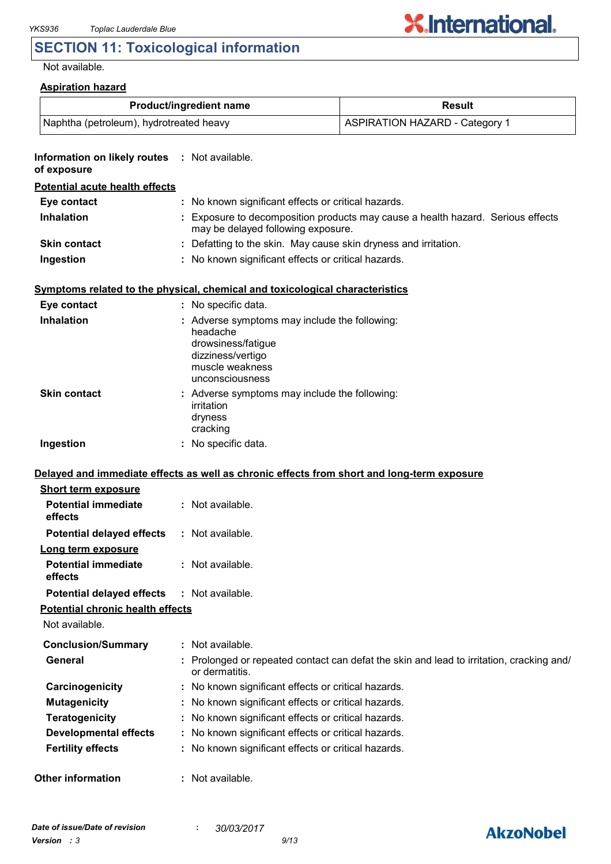## **SECTION 11: Toxicological information**

Not available.

| <b>Aspiration hazard</b>                                     |                                                                                                                                            |                                                                                          |  |
|--------------------------------------------------------------|--------------------------------------------------------------------------------------------------------------------------------------------|------------------------------------------------------------------------------------------|--|
|                                                              | Product/ingredient name                                                                                                                    | Result                                                                                   |  |
| Naphtha (petroleum), hydrotreated heavy                      |                                                                                                                                            | <b>ASPIRATION HAZARD - Category 1</b>                                                    |  |
| Information on likely routes : Not available.<br>of exposure |                                                                                                                                            |                                                                                          |  |
| <b>Potential acute health effects</b>                        |                                                                                                                                            |                                                                                          |  |
| Eye contact                                                  | : No known significant effects or critical hazards.                                                                                        |                                                                                          |  |
| <b>Inhalation</b>                                            | : Exposure to decomposition products may cause a health hazard. Serious effects<br>may be delayed following exposure.                      |                                                                                          |  |
| <b>Skin contact</b>                                          | : Defatting to the skin. May cause skin dryness and irritation.                                                                            |                                                                                          |  |
| Ingestion                                                    | : No known significant effects or critical hazards.                                                                                        |                                                                                          |  |
|                                                              | Symptoms related to the physical, chemical and toxicological characteristics                                                               |                                                                                          |  |
| Eye contact                                                  | : No specific data.                                                                                                                        |                                                                                          |  |
| <b>Inhalation</b>                                            | : Adverse symptoms may include the following:<br>headache<br>drowsiness/fatigue<br>dizziness/vertigo<br>muscle weakness<br>unconsciousness |                                                                                          |  |
| <b>Skin contact</b>                                          | : Adverse symptoms may include the following:<br>irritation<br>dryness<br>cracking                                                         |                                                                                          |  |
| Ingestion                                                    | : No specific data.                                                                                                                        |                                                                                          |  |
|                                                              | Delayed and immediate effects as well as chronic effects from short and long-term exposure                                                 |                                                                                          |  |
| <b>Short term exposure</b>                                   |                                                                                                                                            |                                                                                          |  |
| <b>Potential immediate</b><br>effects                        | : Not available.                                                                                                                           |                                                                                          |  |
| <b>Potential delayed effects</b>                             | : Not available.                                                                                                                           |                                                                                          |  |
| Long term exposure<br><b>Potential immediate</b><br>effects  | : Not available.                                                                                                                           |                                                                                          |  |
| <b>Potential delayed effects</b>                             | : Not available.                                                                                                                           |                                                                                          |  |
| <b>Potential chronic health effects</b><br>Not available.    |                                                                                                                                            |                                                                                          |  |
| <b>Conclusion/Summary</b>                                    | : Not available.                                                                                                                           |                                                                                          |  |
| General                                                      | or dermatitis.                                                                                                                             | : Prolonged or repeated contact can defat the skin and lead to irritation, cracking and/ |  |
| Carcinogenicity                                              | : No known significant effects or critical hazards.                                                                                        |                                                                                          |  |
| <b>Mutagenicity</b>                                          | : No known significant effects or critical hazards.                                                                                        |                                                                                          |  |
| <b>Teratogenicity</b>                                        | : No known significant effects or critical hazards.                                                                                        |                                                                                          |  |
| <b>Developmental effects</b>                                 | : No known significant effects or critical hazards.                                                                                        |                                                                                          |  |
| <b>Fertility effects</b>                                     | : No known significant effects or critical hazards.                                                                                        |                                                                                          |  |
| <b>Other information</b>                                     | : Not available.                                                                                                                           |                                                                                          |  |

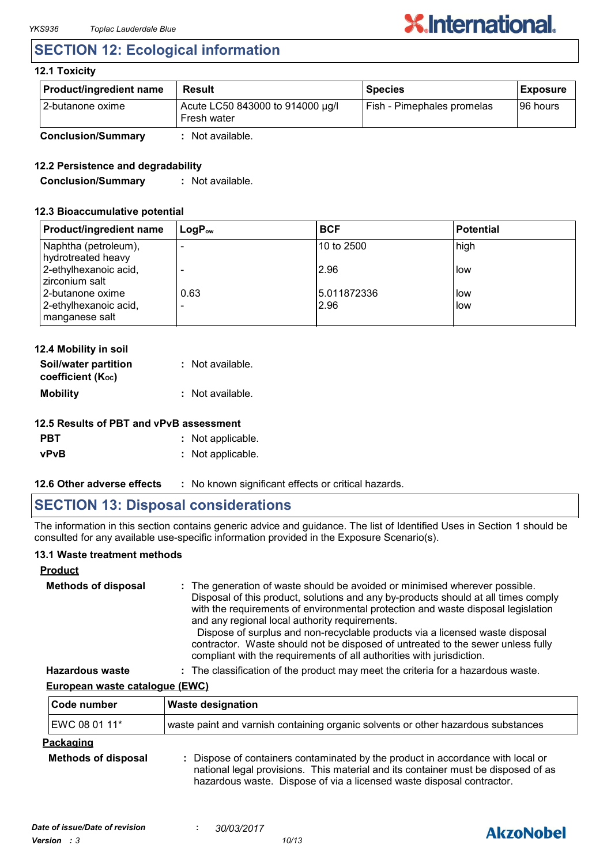### **SECTION 12: Ecological information**

#### **12.1 Toxicity**

| <b>Product/ingredient name</b> | <b>Result</b>                                   | <b>Species</b>             | <b>Exposure</b> |
|--------------------------------|-------------------------------------------------|----------------------------|-----------------|
| l 2-butanone oxime             | Acute LC50 843000 to 914000 µg/l<br>Fresh water | Fish - Pimephales promelas | 196 hours       |
| <b>Conclusion/Summary</b>      | : Not available.                                |                            |                 |

### **12.2 Persistence and degradability**

**Conclusion/Summary :** Not available.

#### **12.3 Bioaccumulative potential**

| Product/ingredient name                    | $LogP_{ow}$                      | <b>BCF</b>           | <b>Potential</b> |
|--------------------------------------------|----------------------------------|----------------------|------------------|
| Naphtha (petroleum),<br>hydrotreated heavy | $\overline{\phantom{0}}$         | 10 to 2500           | high             |
| 2-ethylhexanoic acid,<br>zirconium salt    |                                  | 2.96                 | low              |
| 2-butanone oxime<br>2-ethylhexanoic acid,  | 0.63<br>$\overline{\phantom{0}}$ | 15.011872336<br>2.96 | low<br>low       |
| manganese salt                             |                                  |                      |                  |

| 12.4 Mobility in soil                     |                  |
|-------------------------------------------|------------------|
| Soil/water partition<br>coefficient (Koc) | : Not available. |
| <b>Mobility</b>                           | : Not available. |

### **12.5 Results of PBT and vPvB assessment**

| <b>PBT</b>  | : Not applicable. |
|-------------|-------------------|
| <b>vPvB</b> | : Not applicable. |

**12.6 Other adverse effects** : No known significant effects or critical hazards.

### **SECTION 13: Disposal considerations**

The information in this section contains generic advice and guidance. The list of Identified Uses in Section 1 should be consulted for any available use-specific information provided in the Exposure Scenario(s).

### **13.1 Waste treatment methods**

### **Product**

| <b>Methods of disposal</b> | : The generation of waste should be avoided or minimised wherever possible.<br>Disposal of this product, solutions and any by-products should at all times comply<br>with the requirements of environmental protection and waste disposal legislation<br>and any regional local authority requirements.<br>Dispose of surplus and non-recyclable products via a licensed waste disposal<br>contractor. Waste should not be disposed of untreated to the sewer unless fully<br>compliant with the requirements of all authorities with jurisdiction. |
|----------------------------|-----------------------------------------------------------------------------------------------------------------------------------------------------------------------------------------------------------------------------------------------------------------------------------------------------------------------------------------------------------------------------------------------------------------------------------------------------------------------------------------------------------------------------------------------------|
| Hazardous wasto            | The classification of the product may meet the criteria for a hazardous waste                                                                                                                                                                                                                                                                                                                                                                                                                                                                       |

**Hazardous waste :** The classification of the product may meet the criteria for a hazardous waste.

### **European waste catalogue (EWC)**

| Code number                                    | <b>Waste designation</b>                                                                                                                                                                                                                      |
|------------------------------------------------|-----------------------------------------------------------------------------------------------------------------------------------------------------------------------------------------------------------------------------------------------|
| EWC 08 01 11*                                  | waste paint and varnish containing organic solvents or other hazardous substances                                                                                                                                                             |
| <b>Packaging</b><br><b>Methods of disposal</b> | : Dispose of containers contaminated by the product in accordance with local or<br>national legal provisions. This material and its container must be disposed of as<br>hazardous waste. Dispose of via a licensed waste disposal contractor. |

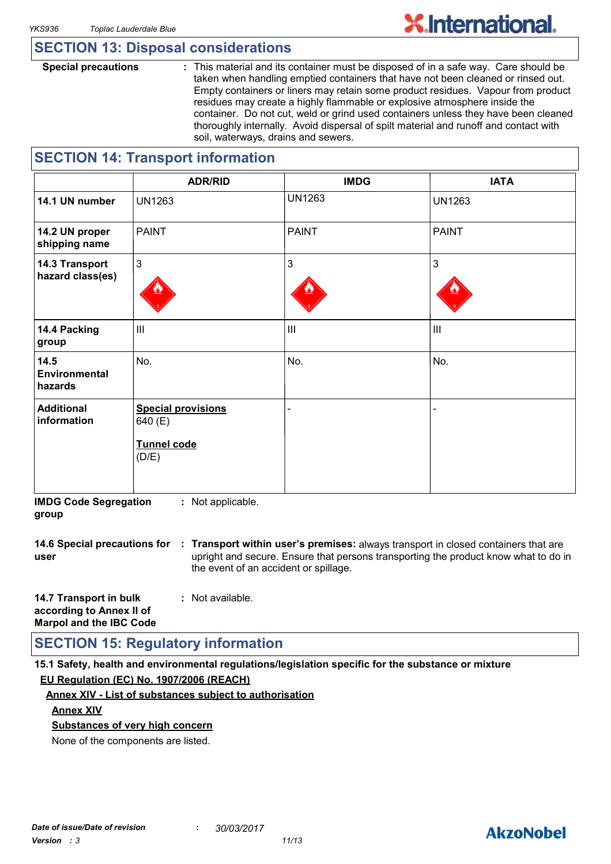### **SECTION 13: Disposal considerations**

**Special precautions :** This material and its container must be disposed of in a safe way. Care should be taken when handling emptied containers that have not been cleaned or rinsed out. Empty containers or liners may retain some product residues. Vapour from product residues may create a highly flammable or explosive atmosphere inside the container. Do not cut, weld or grind used containers unless they have been cleaned thoroughly internally. Avoid dispersal of spilt material and runoff and contact with soil, waterways, drains and sewers.

### **SECTION 14: Transport information**

|                                    | <b>ADR/RID</b>                                                      | <b>IMDG</b>    | <b>IATA</b>    |
|------------------------------------|---------------------------------------------------------------------|----------------|----------------|
| 14.1 UN number                     | <b>UN1263</b>                                                       | <b>UN1263</b>  | <b>UN1263</b>  |
| 14.2 UN proper<br>shipping name    | <b>PAINT</b>                                                        | <b>PAINT</b>   | <b>PAINT</b>   |
| 14.3 Transport<br>hazard class(es) | $\mathbf{3}$                                                        | 3              | $\mathbf{3}$   |
| 14.4 Packing<br>group              | $\mathbf{III}$                                                      | $\mathbf{III}$ | $\mathbf{III}$ |
| 14.5<br>Environmental<br>hazards   | No.                                                                 | No.            | No.            |
| <b>Additional</b><br>information   | <b>Special provisions</b><br>640 (E)<br><b>Tunnel code</b><br>(D/E) |                | $\overline{a}$ |

**IMDG Code Segregation group :** Not applicable.

**14.6 Special precautions for : Transport within user's premises:** always transport in closed containers that are **user** upright and secure. Ensure that persons transporting the product know what to do in the event of an accident or spillage.

| 14.7 Transport in bulk         | : Not available. |
|--------------------------------|------------------|
| according to Annex II of       |                  |
| <b>Marpol and the IBC Code</b> |                  |

### **SECTION 15: Regulatory information**

**15.1 Safety, health and environmental regulations/legislation specific for the substance or mixture EU Regulation (EC) No. 1907/2006 (REACH)**

#### **Annex XIV - List of substances subject to authorisation**

#### **Annex XIV**

**Substances of very high concern**

None of the components are listed.

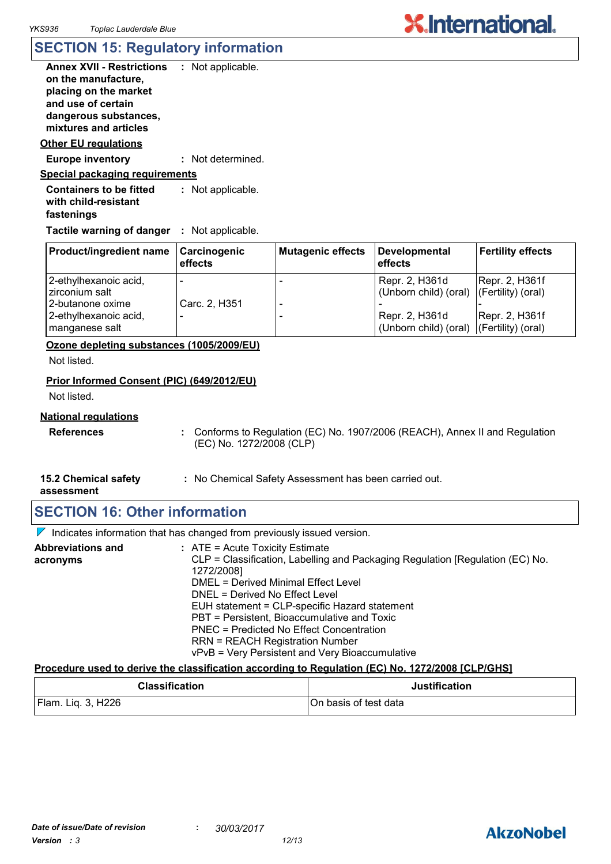### **SECTION 15: Regulatory information**

| <b>Annex XVII - Restrictions</b><br>on the manufacture,<br>placing on the market<br>and use of certain<br>dangerous substances,<br>mixtures and articles | : Not applicable. |
|----------------------------------------------------------------------------------------------------------------------------------------------------------|-------------------|
| Other EU regulations                                                                                                                                     |                   |
| <b>Europe inventory</b>                                                                                                                                  | : Not determined. |
| <u>Special packaging requirements</u>                                                                                                                    |                   |
| <b>Containers to be fitted</b><br>with child-resistant<br>fastenings                                                                                     | : Not applicable. |

**Tactile warning of danger : Not applicable.** 

| <b>Product/ingredient name</b>                                | Carcinogenic<br>effects | <b>Mutagenic effects</b> | Developmental<br>effects                                   | <b>Fertility effects</b>                 |
|---------------------------------------------------------------|-------------------------|--------------------------|------------------------------------------------------------|------------------------------------------|
| 2-ethylhexanoic acid,<br>zirconium salt                       | -                       |                          | Repr. 2, H361d<br>(Unborn child) (oral)                    | Repr. 2, H361f<br>$ $ (Fertility) (oral) |
| l 2-butanone oxime<br>2-ethylhexanoic acid,<br>manganese salt | Carc. 2, H351<br>-      |                          | Repr. 2, H361d<br>(Unborn child) (oral) (Fertility) (oral) | Repr. 2, H361f                           |

**Ozone depleting substances (1005/2009/EU)**

Not listed.

#### **Prior Informed Consent (PIC) (649/2012/EU)**

Not listed.

#### **National regulations**

- **References :** Conforms to Regulation (EC) No. 1907/2006 (REACH), Annex II and Regulation (EC) No. 1272/2008 (CLP)
- **15.2 Chemical safety :** No Chemical Safety Assessment has been carried out.

**assessment**

### **SECTION 16: Other information**

 $\nabla$  Indicates information that has changed from previously issued version.

| <b>Abbreviations and</b> | $:$ ATE = Acute Toxicity Estimate                                             |
|--------------------------|-------------------------------------------------------------------------------|
| acronyms                 | CLP = Classification, Labelling and Packaging Regulation [Regulation (EC) No. |
|                          | 1272/2008]                                                                    |
|                          | DMEL = Derived Minimal Effect Level                                           |
|                          | DNEL = Derived No Effect Level                                                |
|                          | EUH statement = CLP-specific Hazard statement                                 |
|                          | PBT = Persistent, Bioaccumulative and Toxic                                   |
|                          | PNEC = Predicted No Effect Concentration                                      |
|                          | <b>RRN = REACH Registration Number</b>                                        |
|                          | vPvB = Very Persistent and Very Bioaccumulative                               |

#### **Procedure used to derive the classification according to Regulation (EC) No. 1272/2008 [CLP/GHS]**

| <b>Classification</b> | <b>Justification</b>  |
|-----------------------|-----------------------|
| Flam. Liq. 3, H226    | On basis of test data |

### **AkzoNobel**